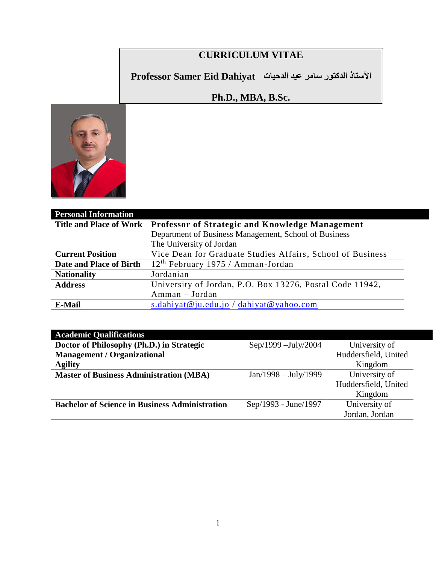# **CURRICULUM VITAE**

**األستاذ الدكتور سامر عيد الدحيات Dahiyat Eid Samer Professor**

## **Ph.D., MBA, B.Sc.**



| <b>Personal Information</b>    |                                                            |  |
|--------------------------------|------------------------------------------------------------|--|
| <b>Title and Place of Work</b> | Professor of Strategic and Knowledge Management            |  |
|                                | Department of Business Management, School of Business      |  |
|                                | The University of Jordan                                   |  |
| <b>Current Position</b>        | Vice Dean for Graduate Studies Affairs, School of Business |  |
| Date and Place of Birth        | $12th$ February 1975 / Amman-Jordan                        |  |
| <b>Nationality</b>             | Jordanian                                                  |  |
| <b>Address</b>                 | University of Jordan, P.O. Box 13276, Postal Code 11942,   |  |
|                                | Amman – Jordan                                             |  |
| <b>E-Mail</b>                  | s.dahiyat@ju.edu.jo / dahiyat@yahoo.com                    |  |

### **Academic Qualifications**

| Doctor of Philosophy (Ph.D.) in Strategic             | $Sep/1999 - July/2004$ | University of        |
|-------------------------------------------------------|------------------------|----------------------|
| <b>Management / Organizational</b>                    |                        | Huddersfield, United |
| <b>Agility</b>                                        |                        | Kingdom              |
| <b>Master of Business Administration (MBA)</b>        | $Jan/1998 - July/1999$ | University of        |
|                                                       |                        | Huddersfield, United |
|                                                       |                        | Kingdom              |
| <b>Bachelor of Science in Business Administration</b> | Sep/1993 - June/1997   | University of        |
|                                                       |                        | Jordan, Jordan       |
|                                                       |                        |                      |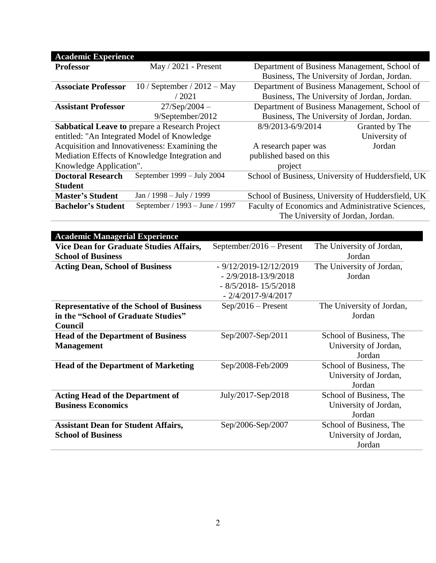| <b>Academic Experience</b>                                                                                     |                                                |                                                    |                |  |
|----------------------------------------------------------------------------------------------------------------|------------------------------------------------|----------------------------------------------------|----------------|--|
| <b>Professor</b>                                                                                               | May $/ 2021$ - Present                         | Department of Business Management, School of       |                |  |
|                                                                                                                |                                                | Business, The University of Jordan, Jordan.        |                |  |
| <b>Associate Professor</b><br>$10/$ September / $2012 -$ May                                                   |                                                | Department of Business Management, School of       |                |  |
|                                                                                                                | / 2021                                         | Business, The University of Jordan, Jordan.        |                |  |
| <b>Assistant Professor</b>                                                                                     | $27/Sep/2004 -$                                | Department of Business Management, School of       |                |  |
|                                                                                                                | 9/September/2012                               | Business, The University of Jordan, Jordan.        |                |  |
| <b>Sabbatical Leave to prepare a Research Project</b>                                                          |                                                | 8/9/2013-6/9/2014                                  | Granted by The |  |
|                                                                                                                | entitled: "An Integrated Model of Knowledge    |                                                    | University of  |  |
| Acquisition and Innovativeness: Examining the                                                                  |                                                | A research paper was                               | Jordan         |  |
|                                                                                                                | Mediation Effects of Knowledge Integration and | published based on this                            |                |  |
| Knowledge Application".                                                                                        |                                                | project                                            |                |  |
| September $1999 - July 2004$<br><b>Doctoral Research</b><br>School of Business, University of Huddersfield, UK |                                                |                                                    |                |  |
| <b>Student</b>                                                                                                 |                                                |                                                    |                |  |
| <b>Master's Student</b>                                                                                        | Jan / 1998 – July / 1999                       | School of Business, University of Huddersfield, UK |                |  |
| <b>Bachelor's Student</b>                                                                                      | September / 1993 – June / 1997                 | Faculty of Economics and Administrative Sciences,  |                |  |
| The University of Jordan, Jordan.                                                                              |                                                |                                                    |                |  |

| <b>Academic Managerial Experience</b>           |                           |                           |
|-------------------------------------------------|---------------------------|---------------------------|
| Vice Dean for Graduate Studies Affairs,         | September/2016 – Present  | The University of Jordan, |
| <b>School of Business</b>                       |                           | Jordan                    |
| <b>Acting Dean, School of Business</b>          | $-9/12/2019 - 12/12/2019$ | The University of Jordan, |
|                                                 | $-2/9/2018 - 13/9/2018$   | Jordan                    |
|                                                 | $-8/5/2018 - 15/5/2018$   |                           |
|                                                 | $-2/4/2017 - 9/4/2017$    |                           |
| <b>Representative of the School of Business</b> | $Sep/2016 - Present$      | The University of Jordan, |
| in the "School of Graduate Studies"             |                           | Jordan                    |
| Council                                         |                           |                           |
| <b>Head of the Department of Business</b>       | Sep/2007-Sep/2011         | School of Business, The   |
| <b>Management</b>                               |                           | University of Jordan,     |
|                                                 |                           | Jordan                    |
| <b>Head of the Department of Marketing</b>      | Sep/2008-Feb/2009         | School of Business, The   |
|                                                 |                           | University of Jordan,     |
|                                                 |                           | Jordan                    |
| <b>Acting Head of the Department of</b>         | July/2017-Sep/2018        | School of Business, The   |
| <b>Business Economics</b>                       |                           | University of Jordan,     |
|                                                 |                           | Jordan                    |
| <b>Assistant Dean for Student Affairs,</b>      | Sep/2006-Sep/2007         | School of Business, The   |
| <b>School of Business</b>                       |                           | University of Jordan,     |
|                                                 |                           | Jordan                    |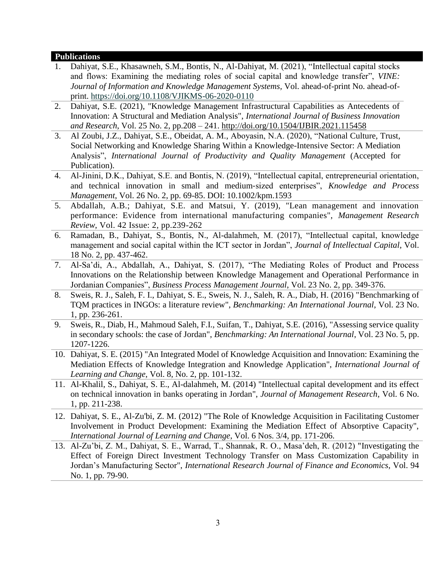#### **Publications**

- 1. Dahiyat, S.E., Khasawneh, S.M., Bontis, N., Al-Dahiyat, M. (2021), "Intellectual capital stocks and flows: Examining the mediating roles of social capital and knowledge transfer", *VINE: Journal of Information and Knowledge Management Systems,* Vol. ahead-of-print No. ahead-ofprint. <https://doi.org/10.1108/VJIKMS-06-2020-0110>
- 2. Dahiyat, S.E. (2021), "Knowledge Management Infrastructural Capabilities as Antecedents of Innovation: A Structural and Mediation Analysis", *International Journal of Business Innovation and Research*, Vol. 25 No. 2, pp.208 – 241. http://doi.org[/10.1504/IJBIR.2021.115458](https://dx.doi.org/10.1504/IJBIR.2021.115458)
- 3. Al Zoubi, J.Z., Dahiyat, S.E., Obeidat, A. M., Aboyasin, N.A. (2020), "National Culture, Trust, Social Networking and Knowledge Sharing Within a Knowledge-Intensive Sector: A Mediation Analysis", *International Journal of Productivity and Quality Management* (Accepted for Publication).
- 4. Al-Jinini, D.K., Dahiyat, S.E. and Bontis, N. (2019), "Intellectual capital, entrepreneurial orientation, and technical innovation in small and medium‐sized enterprises", *Knowledge and Process Management*, Vol. 26 No. 2, pp. 69-85. DOI: 10.1002/kpm.1593
- 5. [Abdallah,](https://www.emeraldinsight.com/author/Abdallah%2C+Ayman+Bahjat) A.B.; [Dahiyat,](https://www.emeraldinsight.com/author/Dahiyat%2C+Samer+Eid) S.E. and [Matsui,](https://www.emeraldinsight.com/author/Matsui%2C+Yoshiki) Y. (2019), "Lean management and innovation performance: Evidence from international manufacturing companies", *Management Research Review*, Vol. 42 Issue: 2, pp.239-262
- 6. Ramadan, B., Dahiyat, S., Bontis, N., Al-dalahmeh, M. (2017), "Intellectual capital, knowledge management and social capital within the ICT sector in Jordan", *Journal of Intellectual Capital*, Vol. 18 No. 2, pp. 437-462.
- 7. Al-Sa'di, A., Abdallah, A., Dahiyat, S. (2017), "The Mediating Roles of Product and Process Innovations on the Relationship between Knowledge Management and Operational Performance in Jordanian Companies", *Business Process Management Journal*, Vol. 23 No. 2, pp. 349-376.
- 8. Sweis, R. J., Saleh, F. I., Dahiyat, S. E., Sweis, N. J., Saleh, R. A., Diab, H. (2016) ["Benchmarking of](http://www.emeraldinsight.com/doi/abs/10.1108/BIJ-02-2015-0013)  [TQM practices in INGOs: a literature review"](http://www.emeraldinsight.com/doi/abs/10.1108/BIJ-02-2015-0013), *Benchmarking: An International Journal*, Vol. 23 No. 1, pp. 236-261.
- 9. [Sweis, R.,](https://www.emerald.com/insight/search?q=Rateb%20Sweis) [Diab, H.,](https://www.emerald.com/insight/search?q=Hannah%20Diab) [Mahmoud Saleh, F.I.,](https://www.emerald.com/insight/search?q=Firas%20Izzat%20Mahmoud%20Saleh) [Suifan, T.,](https://www.emerald.com/insight/search?q=Taghrid%20Suifan) [Dahiyat, S.E.](https://www.emerald.com/insight/search?q=Samer%20Eid%20Dahiyat) (2016), "Assessing service quality in secondary schools: the case of Jordan", *[Benchmarking: An International Journal](https://www.emerald.com/insight/publication/issn/1463-5771)*, Vol. 23 No. 5, pp. 1207-1226.
- 10. Dahiyat, S. E. (2015) "An Integrated Model of Knowledge Acquisition and Innovation: Examining the Mediation Effects of Knowledge Integration and Knowledge Application", *International Journal of Learning and Change*, Vol. 8, No. 2, pp. 101-132.
- 11. Al-Khalil, S., Dahiyat, S. E., Al-dalahmeh, M. (2014) ["Intellectual capital development and its effect](http://search.proquest.com/openview/77ab981c6729fc9bd97944c6d922589a/1?pq-origsite=gscholar)  [on technical innovation in banks operating in Jordan"](http://search.proquest.com/openview/77ab981c6729fc9bd97944c6d922589a/1?pq-origsite=gscholar), *Journal of Management Research*, Vol. 6 No. 1, pp. 211-238.
- 12. Dahiyat, S. E., Al-Zu'bi, Z. M. (2012) "The Role of Knowledge Acquisition in Facilitating Customer Involvement in Product Development: Examining the Mediation Effect of Absorptive Capacity", *International Journal of Learning and Change*, Vol. 6 Nos. 3/4, pp. 171-206.
- 13. Al-Zu'bi, Z. M., Dahiyat, S. E., Warrad, T., Shannak, R. O., Masa'deh, R. (2012) ["Investigating the](https://www.researchgate.net/profile/Raed_Masadeh/publication/260079805_Investigating_the_Effect_of_Foreign_Direct_Investment_Technology_Transfer_on_Mass_Customization_Capability_in_Jordans_Manufacturing_Sector/links/0c96052f5551ddd74c000000.pdf)  [Effect of Foreign Direct Investment Technology Transfer on Mass Customization Capability in](https://www.researchgate.net/profile/Raed_Masadeh/publication/260079805_Investigating_the_Effect_of_Foreign_Direct_Investment_Technology_Transfer_on_Mass_Customization_Capability_in_Jordans_Manufacturing_Sector/links/0c96052f5551ddd74c000000.pdf)  [Jordan's Manufacturing Sector"](https://www.researchgate.net/profile/Raed_Masadeh/publication/260079805_Investigating_the_Effect_of_Foreign_Direct_Investment_Technology_Transfer_on_Mass_Customization_Capability_in_Jordans_Manufacturing_Sector/links/0c96052f5551ddd74c000000.pdf), *International Research Journal of Finance and Economics*, Vol. 94 No. 1, pp. 79-90.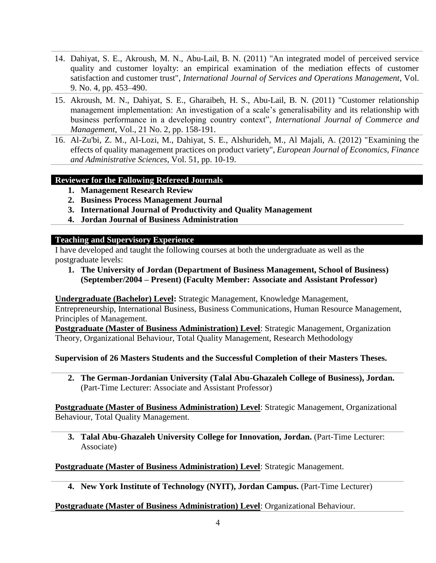- 14. Dahiyat, S. E., Akroush, M. N., Abu-Lail, B. N. (2011) "An integrated model of perceived service quality and customer loyalty: an empirical examination of the mediation effects of customer satisfaction and customer trust", *International Journal of Services and Operations Management*, Vol. 9. No. 4, pp. 453–490.
- 15. Akroush, M. N., Dahiyat, S. E., Gharaibeh, H. S., Abu-Lail, B. N. (2011) "Customer relationship management implementation: An investigation of a scale's generalisability and its relationship with business performance in a developing country context", *International Journal of Commerce and Management*, Vol., 21 No. 2, pp. 158-191.
- 16. Al-Zu'bi, Z. M., Al-Lozi, M., Dahiyat, S. E., Alshurideh, M., Al Majali, A. (2012) ["Examining the](https://www.researchgate.net/profile/Dr_Muhammad_Alshurideh/publication/263010773_Examining_the_Effects_of_Quality_Management_Practices_o_Product_Variety/links/0deec5398d82f96f9c000000.pdf)  [effects of quality management practices on product variety"](https://www.researchgate.net/profile/Dr_Muhammad_Alshurideh/publication/263010773_Examining_the_Effects_of_Quality_Management_Practices_o_Product_Variety/links/0deec5398d82f96f9c000000.pdf), *European Journal of Economics, Finance and Administrative Sciences*, Vol. 51, pp. 10-19.

#### **Reviewer for the Following Refereed Journals**

- **1. Management Research Review**
- **2. Business Process Management Journal**
- **3. International Journal of Productivity and Quality Management**
- **4. Jordan Journal of Business Administration**

#### **Teaching and Supervisory Experience**

I have developed and taught the following courses at both the undergraduate as well as the postgraduate levels:

**1. The University of Jordan (Department of Business Management, School of Business) (September/2004 – Present) (Faculty Member: Associate and Assistant Professor)**

**Undergraduate (Bachelor) Level:** Strategic Management, Knowledge Management,

Entrepreneurship, International Business, Business Communications, Human Resource Management, Principles of Management.

**Postgraduate (Master of Business Administration) Level**: Strategic Management, Organization Theory, Organizational Behaviour, Total Quality Management, Research Methodology

#### **Supervision of 26 Masters Students and the Successful Completion of their Masters Theses.**

**2. The German-Jordanian University (Talal Abu-Ghazaleh College of Business), Jordan.** (Part-Time Lecturer: Associate and Assistant Professor)

**Postgraduate (Master of Business Administration) Level**: Strategic Management, Organizational Behaviour, Total Quality Management.

**3. Talal Abu-Ghazaleh University College for Innovation, Jordan.** (Part-Time Lecturer: Associate)

**Postgraduate (Master of Business Administration) Level: Strategic Management.** 

**4. New York Institute of Technology (NYIT), Jordan Campus.** (Part-Time Lecturer)

#### **Postgraduate (Master of Business Administration) Level**: Organizational Behaviour.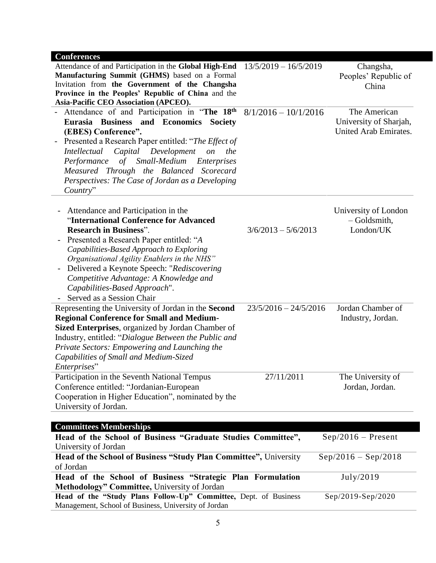| <b>Conferences</b>                                                  |                         |                        |
|---------------------------------------------------------------------|-------------------------|------------------------|
| Attendance of and Participation in the Global High-End              | $13/5/2019 - 16/5/2019$ | Changsha,              |
| Manufacturing Summit (GHMS) based on a Formal                       |                         | Peoples' Republic of   |
| Invitation from the Government of the Changsha                      |                         | China                  |
| Province in the Peoples' Republic of China and the                  |                         |                        |
| Asia-Pacific CEO Association (APCEO).                               |                         |                        |
| - Attendance of and Participation in "The 18th                      | $8/1/2016 - 10/1/2016$  | The American           |
| Eurasia Business and Economics<br><b>Society</b>                    |                         | University of Sharjah, |
| (EBES) Conference".                                                 |                         | United Arab Emirates.  |
| Presented a Research Paper entitled: "The Effect of                 |                         |                        |
| Capital Development<br><i>Intellectual</i><br>the<br><i>on</i>      |                         |                        |
| Performance<br>of Small-Medium<br><i>Enterprises</i>                |                         |                        |
| Measured Through the Balanced Scorecard                             |                         |                        |
| Perspectives: The Case of Jordan as a Developing                    |                         |                        |
| Country"                                                            |                         |                        |
|                                                                     |                         |                        |
|                                                                     |                         |                        |
| Attendance and Participation in the<br>$\qquad \qquad \blacksquare$ |                         | University of London   |
| "International Conference for Advanced                              |                         | $-$ Goldsmith,         |
| <b>Research in Business".</b>                                       | $3/6/2013 - 5/6/2013$   | London/UK              |
| Presented a Research Paper entitled: "A                             |                         |                        |
| Capabilities-Based Approach to Exploring                            |                         |                        |
| Organisational Agility Enablers in the NHS"                         |                         |                        |
| Delivered a Keynote Speech: "Rediscovering                          |                         |                        |
| Competitive Advantage: A Knowledge and                              |                         |                        |
| Capabilities-Based Approach".                                       |                         |                        |
| Served as a Session Chair                                           |                         |                        |
| Representing the University of Jordan in the Second                 | $23/5/2016 - 24/5/2016$ | Jordan Chamber of      |
| <b>Regional Conference for Small and Medium-</b>                    |                         | Industry, Jordan.      |
| Sized Enterprises, organized by Jordan Chamber of                   |                         |                        |
| Industry, entitled: "Dialogue Between the Public and                |                         |                        |
| Private Sectors: Empowering and Launching the                       |                         |                        |
| Capabilities of Small and Medium-Sized                              |                         |                        |
| Enterprises"                                                        |                         |                        |
|                                                                     | 27/11/2011              |                        |
| Participation in the Seventh National Tempus                        |                         | The University of      |
| Conference entitled: "Jordanian-European                            |                         | Jordan, Jordan.        |
| Cooperation in Higher Education", nominated by the                  |                         |                        |
| University of Jordan.                                               |                         |                        |
|                                                                     |                         |                        |
| <b>Committees Memberships</b>                                       |                         |                        |
| Head of the School of Business "Graduate Studies Committee",        |                         | $Sep/2016 - Present$   |
| University of Jordan                                                |                         |                        |
| Head of the School of Business "Study Plan Committee", University   |                         | $Sep/2016 - Sep/2018$  |
| of Jordan                                                           |                         |                        |
| Head of the School of Business "Strategic Plan Formulation          |                         | July/2019              |
| Methodology" Committee, University of Jordan                        |                         |                        |
| Head of the "Study Plans Follow-Up" Committee, Dept. of Business    |                         | Sep/2019-Sep/2020      |
| Management, School of Business, University of Jordan                |                         |                        |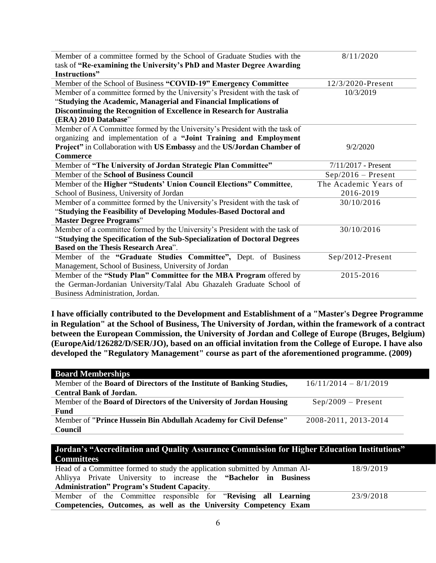| Member of a committee formed by the School of Graduate Studies with the     | 8/11/2020             |  |
|-----------------------------------------------------------------------------|-----------------------|--|
| task of "Re-examining the University's PhD and Master Degree Awarding       |                       |  |
| Instructions"                                                               |                       |  |
| Member of the School of Business "COVID-19" Emergency Committee             | 12/3/2020-Present     |  |
| Member of a committee formed by the University's President with the task of | 10/3/2019             |  |
| "Studying the Academic, Managerial and Financial Implications of            |                       |  |
| Discontinuing the Recognition of Excellence in Research for Australia       |                       |  |
| (ERA) 2010 Database"                                                        |                       |  |
| Member of A Committee formed by the University's President with the task of |                       |  |
| organizing and implementation of a "Joint Training and Employment           |                       |  |
| Project" in Collaboration with US Embassy and the US/Jordan Chamber of      | 9/2/2020              |  |
| <b>Commerce</b>                                                             |                       |  |
| Member of "The University of Jordan Strategic Plan Committee"               | $7/11/2017$ - Present |  |
| Member of the School of Business Council                                    | $Sep/2016 - Present$  |  |
| Member of the Higher "Students' Union Council Elections" Committee,         | The Academic Years of |  |
| School of Business, University of Jordan                                    | 2016-2019             |  |
| Member of a committee formed by the University's President with the task of | 30/10/2016            |  |
| "Studying the Feasibility of Developing Modules-Based Doctoral and          |                       |  |
| <b>Master Degree Programs"</b>                                              |                       |  |
| Member of a committee formed by the University's President with the task of | 30/10/2016            |  |
| "Studying the Specification of the Sub-Specialization of Doctoral Degrees   |                       |  |
| <b>Based on the Thesis Research Area".</b>                                  |                       |  |
| Member of the "Graduate Studies Committee", Dept. of Business               | Sep/2012-Present      |  |
| Management, School of Business, University of Jordan                        |                       |  |
| Member of the "Study Plan" Committee for the MBA Program offered by         | 2015-2016             |  |
| the German-Jordanian University/Talal Abu Ghazaleh Graduate School of       |                       |  |
| Business Administration, Jordan.                                            |                       |  |

**I have officially contributed to the Development and Establishment of a "Master's Degree Programme in Regulation" at the School of Business, The University of Jordan, within the framework of a contract between the European Commission, the University of Jordan and College of Europe (Bruges, Belgium) (EuropeAid/126282/D/SER/JO), based on an official invitation from the College of Europe. I have also developed the "Regulatory Management" course as part of the aforementioned programme. (2009)**

| <b>Board Memberships</b>                                              |                         |
|-----------------------------------------------------------------------|-------------------------|
| Member of the Board of Directors of the Institute of Banking Studies, | $16/11/2014 - 8/1/2019$ |
| <b>Central Bank of Jordan.</b>                                        |                         |
| Member of the Board of Directors of the University of Jordan Housing  | $Sep/2009 - Present$    |
| Fund                                                                  |                         |
| Member of "Prince Hussein Bin Abdullah Academy for Civil Defense"     | 2008-2011, 2013-2014    |
| Council                                                               |                         |

#### **Jordan's "Accreditation and Quality Assurance Commission for Higher Education Institutions" Committees**

|                                                                   | Head of a Committee formed to study the application submitted by Amman Al- | 18/9/2019 |  |
|-------------------------------------------------------------------|----------------------------------------------------------------------------|-----------|--|
|                                                                   | Ahliyya Private University to increase the "Bachelor in Business"          |           |  |
| <b>Administration</b> " Program's Student Capacity.               |                                                                            |           |  |
|                                                                   | Member of the Committee responsible for "Revising all Learning"            | 23/9/2018 |  |
| Competencies, Outcomes, as well as the University Competency Exam |                                                                            |           |  |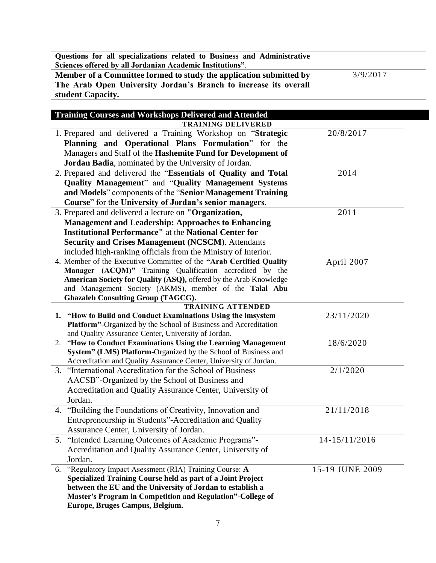| Questions for all specializations related to Business and Administrative<br>Sciences offered by all Jordanian Academic Institutions". |           |
|---------------------------------------------------------------------------------------------------------------------------------------|-----------|
| Member of a Committee formed to study the application submitted by                                                                    | 3/9/2017  |
| The Arab Open University Jordan's Branch to increase its overall                                                                      |           |
| student Capacity.                                                                                                                     |           |
|                                                                                                                                       |           |
| <b>Training Courses and Workshops Delivered and Attended</b>                                                                          |           |
| <b>TRAINING DELIVERED</b>                                                                                                             |           |
| 1. Prepared and delivered a Training Workshop on "Strategic                                                                           | 20/8/2017 |
| Planning and Operational Plans Formulation" for the                                                                                   |           |
| Managers and Staff of the <b>Hashemite Fund for Development of</b>                                                                    |           |

| ганниц ани Орсганонаг гтанэ гогинаанон                                                                                   |                 |
|--------------------------------------------------------------------------------------------------------------------------|-----------------|
| Managers and Staff of the Hashemite Fund for Development of                                                              |                 |
| Jordan Badia, nominated by the University of Jordan.                                                                     |                 |
| 2. Prepared and delivered the "Essentials of Quality and Total                                                           | 2014            |
| Quality Management" and "Quality Management Systems                                                                      |                 |
| and Models" components of the "Senior Management Training                                                                |                 |
| Course" for the University of Jordan's senior managers.                                                                  |                 |
| 3. Prepared and delivered a lecture on "Organization,                                                                    | 2011            |
| <b>Management and Leadership: Approaches to Enhancing</b>                                                                |                 |
| <b>Institutional Performance"</b> at the National Center for                                                             |                 |
| Security and Crises Management (NCSCM). Attendants                                                                       |                 |
| included high-ranking officials from the Ministry of Interior.                                                           |                 |
| 4. Member of the Executive Committee of the "Arab Certified Quality                                                      | April 2007      |
| Manager (ACQM)" Training Qualification accredited by the                                                                 |                 |
| American Society for Quality (ASQ), offered by the Arab Knowledge                                                        |                 |
| and Management Society (AKMS), member of the Talal Abu                                                                   |                 |
| <b>Ghazaleh Consulting Group (TAGCG).</b>                                                                                |                 |
| <b>TRAINING ATTENDED</b>                                                                                                 |                 |
| 1. "How to Build and Conduct Examinations Using the Imsystem                                                             | 23/11/2020      |
| Platform"-Organized by the School of Business and Accreditation<br>and Quality Assurance Center, University of Jordan.   |                 |
| 2. "How to Conduct Examinations Using the Learning Management                                                            | 18/6/2020       |
| System" (LMS) Platform-Organized by the School of Business and                                                           |                 |
| Accreditation and Quality Assurance Center, University of Jordan.                                                        |                 |
| 3. "International Accreditation for the School of Business                                                               | 2/1/2020        |
| AACSB"-Organized by the School of Business and                                                                           |                 |
| Accreditation and Quality Assurance Center, University of                                                                |                 |
| Jordan.                                                                                                                  |                 |
| 4. "Building the Foundations of Creativity, Innovation and                                                               | 21/11/2018      |
| Entrepreneurship in Students"-Accreditation and Quality                                                                  |                 |
| Assurance Center, University of Jordan.                                                                                  |                 |
| 5. "Intended Learning Outcomes of Academic Programs"-                                                                    | 14-15/11/2016   |
| Accreditation and Quality Assurance Center, University of                                                                |                 |
| Jordan.                                                                                                                  |                 |
| 6. "Regulatory Impact Asessment (RIA) Training Course: A                                                                 | 15-19 JUNE 2009 |
| Specialized Training Course held as part of a Joint Project                                                              |                 |
|                                                                                                                          |                 |
|                                                                                                                          |                 |
| between the EU and the University of Jordan to establish a<br>Master's Program in Competition and Regulation"-College of |                 |